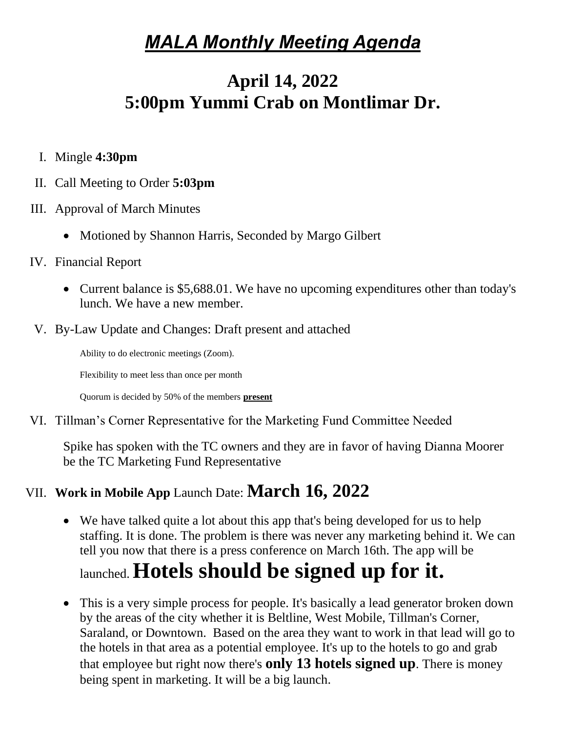# *MALA Monthly Meeting Agenda*

## **April 14, 2022 5:00pm Yummi Crab on Montlimar Dr.**

- I. Mingle **4:30pm**
- II. Call Meeting to Order **5:03pm**
- III. Approval of March Minutes
	- Motioned by Shannon Harris, Seconded by Margo Gilbert
- IV. Financial Report
	- Current balance is \$5,688.01. We have no upcoming expenditures other than today's lunch. We have a new member.
- V. By-Law Update and Changes: Draft present and attached

Ability to do electronic meetings (Zoom).

Flexibility to meet less than once per month

Quorum is decided by 50% of the members **present**

VI. Tillman's Corner Representative for the Marketing Fund Committee Needed

Spike has spoken with the TC owners and they are in favor of having Dianna Moorer be the TC Marketing Fund Representative

### VII. **Work in Mobile App** Launch Date: **March 16, 2022**

• We have talked quite a lot about this app that's being developed for us to help staffing. It is done. The problem is there was never any marketing behind it. We can tell you now that there is a press conference on March 16th. The app will be

# launched. **Hotels should be signed up for it.**

• This is a very simple process for people. It's basically a lead generator broken down by the areas of the city whether it is Beltline, West Mobile, Tillman's Corner, Saraland, or Downtown. Based on the area they want to work in that lead will go to the hotels in that area as a potential employee. It's up to the hotels to go and grab that employee but right now there's **only 13 hotels signed up**. There is money being spent in marketing. It will be a big launch.